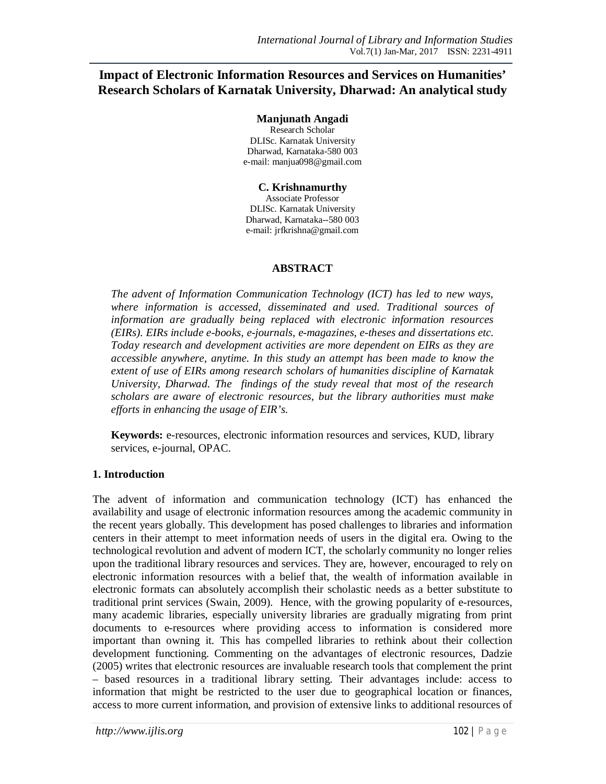# **Impact of Electronic Information Resources and Services on Humanities' Research Scholars of Karnatak University, Dharwad: An analytical study**

#### **Manjunath Angadi**

Research Scholar DLISc. Karnatak University Dharwad, Karnataka-580 003 e-mail: manjua098@gmail.com

## **C. Krishnamurthy**

Associate Professor DLISc. Karnatak University Dharwad, Karnataka--580 003 e-mail: jrfkrishna@gmail.com

### **ABSTRACT**

*The advent of Information Communication Technology (ICT) has led to new ways, where information is accessed, disseminated and used. Traditional sources of information are gradually being replaced with electronic information resources (EIRs). EIRs include e-books, e-journals, e-magazines, e-theses and dissertations etc. Today research and development activities are more dependent on EIRs as they are accessible anywhere, anytime. In this study an attempt has been made to know the extent of use of EIRs among research scholars of humanities discipline of Karnatak University, Dharwad. The findings of the study reveal that most of the research scholars are aware of electronic resources, but the library authorities must make efforts in enhancing the usage of EIR's.*

**Keywords:** e-resources, electronic information resources and services, KUD, library services, e-journal, OPAC.

## **1. Introduction**

The advent of information and communication technology (ICT) has enhanced the availability and usage of electronic information resources among the academic community in the recent years globally. This development has posed challenges to libraries and information centers in their attempt to meet information needs of users in the digital era. Owing to the technological revolution and advent of modern ICT, the scholarly community no longer relies upon the traditional library resources and services. They are, however, encouraged to rely on electronic information resources with a belief that, the wealth of information available in electronic formats can absolutely accomplish their scholastic needs as a better substitute to traditional print services (Swain, 2009). Hence, with the growing popularity of e-resources, many academic libraries, especially university libraries are gradually migrating from print documents to e-resources where providing access to information is considered more important than owning it. This has compelled libraries to rethink about their collection development functioning. Commenting on the advantages of electronic resources, Dadzie (2005) writes that electronic resources are invaluable research tools that complement the print – based resources in a traditional library setting. Their advantages include: access to information that might be restricted to the user due to geographical location or finances, access to more current information, and provision of extensive links to additional resources of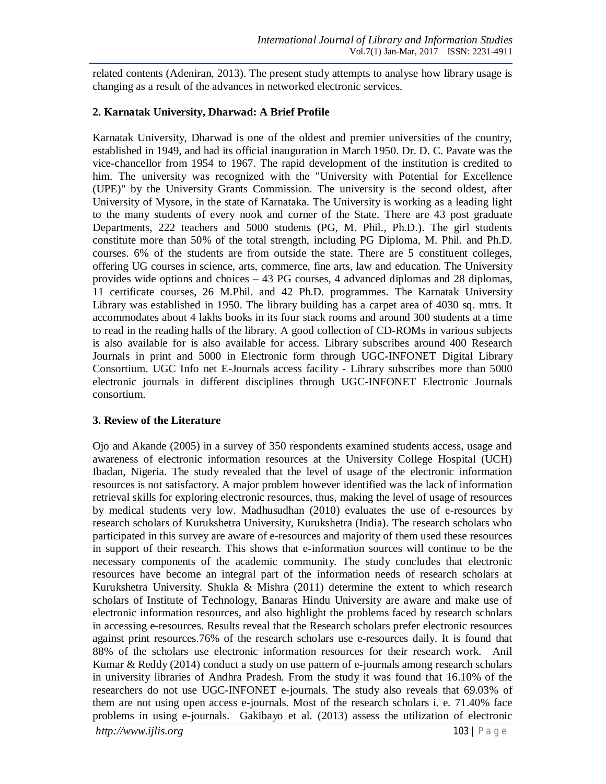related contents (Adeniran, 2013). The present study attempts to analyse how library usage is changing as a result of the advances in networked electronic services.

### **2. Karnatak University, Dharwad: A Brief Profile**

Karnatak University, Dharwad is one of the oldest and premier universities of the country, established in 1949, and had its official inauguration in March 1950. Dr. D. C. Pavate was the vice-chancellor from 1954 to 1967. The rapid development of the institution is credited to him. The university was recognized with the "University with Potential for Excellence (UPE)" by the University Grants Commission. The university is the second oldest, after University of Mysore, in the state of Karnataka. The University is working as a leading light to the many students of every nook and corner of the State. There are 43 post graduate Departments, 222 teachers and 5000 students (PG, M. Phil., Ph.D.). The girl students constitute more than 50% of the total strength, including PG Diploma, M. Phil. and Ph.D. courses. 6% of the students are from outside the state. There are 5 constituent colleges, offering UG courses in science, arts, commerce, fine arts, law and education. The University provides wide options and choices – 43 PG courses, 4 advanced diplomas and 28 diplomas, 11 certificate courses, 26 M.Phil. and 42 Ph.D. programmes. The Karnatak University Library was established in 1950. The library building has a carpet area of 4030 sq. mtrs. It accommodates about 4 lakhs books in its four stack rooms and around 300 students at a time to read in the reading halls of the library. A good collection of CD-ROMs in various subjects is also available for is also available for access. Library subscribes around 400 Research Journals in print and 5000 in Electronic form through UGC-INFONET Digital Library Consortium. UGC Info net E-Journals access facility - Library subscribes more than 5000 electronic journals in different disciplines through UGC-INFONET Electronic Journals consortium.

### **3. Review of the Literature**

Ojo and Akande (2005) in a survey of 350 respondents examined students access, usage and awareness of electronic information resources at the University College Hospital (UCH) Ibadan, Nigeria. The study revealed that the level of usage of the electronic information resources is not satisfactory. A major problem however identified was the lack of information retrieval skills for exploring electronic resources, thus, making the level of usage of resources by medical students very low. Madhusudhan (2010) evaluates the use of e-resources by research scholars of Kurukshetra University, Kurukshetra (India). The research scholars who participated in this survey are aware of e-resources and majority of them used these resources in support of their research. This shows that e-information sources will continue to be the necessary components of the academic community. The study concludes that electronic resources have become an integral part of the information needs of research scholars at Kurukshetra University. Shukla & Mishra (2011) determine the extent to which research scholars of Institute of Technology, Banaras Hindu University are aware and make use of electronic information resources, and also highlight the problems faced by research scholars in accessing e-resources. Results reveal that the Research scholars prefer electronic resources against print resources.76% of the research scholars use e-resources daily. It is found that 88% of the scholars use electronic information resources for their research work. Anil Kumar & Reddy (2014) conduct a study on use pattern of e-journals among research scholars in university libraries of Andhra Pradesh. From the study it was found that 16.10% of the researchers do not use UGC-INFONET e-journals. The study also reveals that 69.03% of them are not using open access e-journals. Most of the research scholars i. e. 71.40% face problems in using e-journals. Gakibayo et al. (2013) assess the utilization of electronic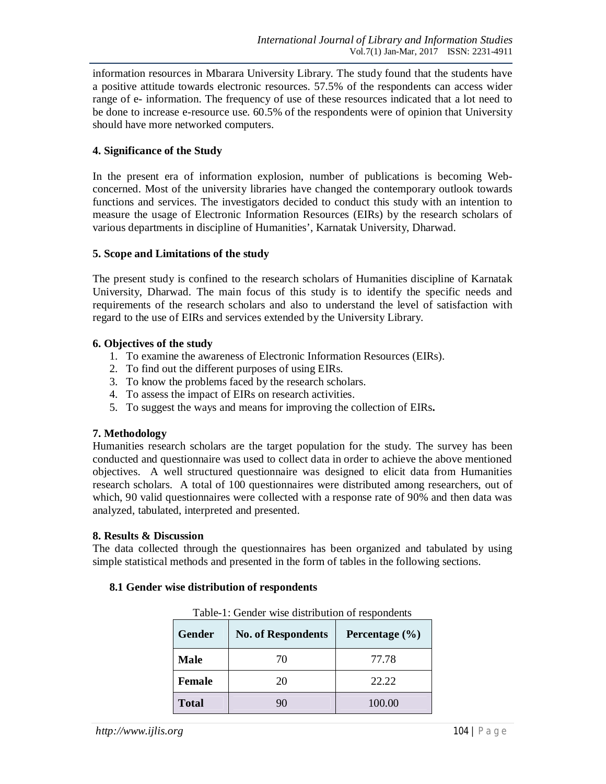information resources in Mbarara University Library. The study found that the students have a positive attitude towards electronic resources. 57.5% of the respondents can access wider range of e- information. The frequency of use of these resources indicated that a lot need to be done to increase e-resource use. 60.5% of the respondents were of opinion that University should have more networked computers.

### **4. Significance of the Study**

In the present era of information explosion, number of publications is becoming Webconcerned. Most of the university libraries have changed the contemporary outlook towards functions and services. The investigators decided to conduct this study with an intention to measure the usage of Electronic Information Resources (EIRs) by the research scholars of various departments in discipline of Humanities', Karnatak University, Dharwad.

#### **5. Scope and Limitations of the study**

The present study is confined to the research scholars of Humanities discipline of Karnatak University, Dharwad. The main focus of this study is to identify the specific needs and requirements of the research scholars and also to understand the level of satisfaction with regard to the use of EIRs and services extended by the University Library.

#### **6. Objectives of the study**

- 1. To examine the awareness of Electronic Information Resources (EIRs).
- 2. To find out the different purposes of using EIRs.
- 3. To know the problems faced by the research scholars.
- 4. To assess the impact of EIRs on research activities.
- 5. To suggest the ways and means for improving the collection of EIRs**.**

#### **7. Methodology**

Humanities research scholars are the target population for the study. The survey has been conducted and questionnaire was used to collect data in order to achieve the above mentioned objectives. A well structured questionnaire was designed to elicit data from Humanities research scholars. A total of 100 questionnaires were distributed among researchers, out of which, 90 valid questionnaires were collected with a response rate of 90% and then data was analyzed, tabulated, interpreted and presented.

#### **8. Results & Discussion**

The data collected through the questionnaires has been organized and tabulated by using simple statistical methods and presented in the form of tables in the following sections.

| Table-1: Gender wise distribution of respondents |                                                 |        |  |
|--------------------------------------------------|-------------------------------------------------|--------|--|
| Gender                                           | <b>No. of Respondents</b><br>Percentage $(\% )$ |        |  |
| Male                                             | 70                                              | 77.78  |  |
| Female                                           | 20                                              | 22.22  |  |
| <b>Total</b>                                     | 90                                              | 100.00 |  |

#### **8.1 Gender wise distribution of respondents**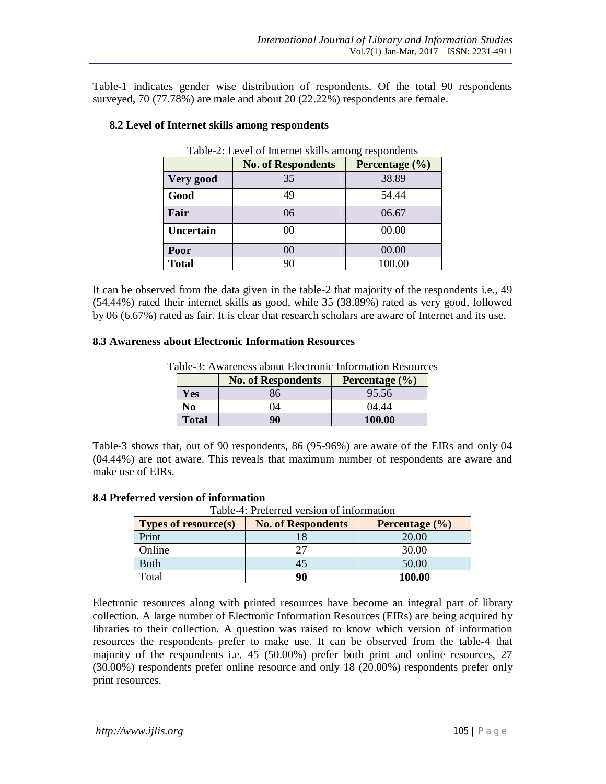Table-1 indicates gender wise distribution of respondents. Of the total 90 respondents surveyed, 70 (77.78%) are male and about 20 (22.22%) respondents are female.

| Table-2: Level of Internet skills among respondents |                                                 |        |  |  |
|-----------------------------------------------------|-------------------------------------------------|--------|--|--|
|                                                     | <b>No. of Respondents</b><br>Percentage $(\% )$ |        |  |  |
| Very good                                           | 35                                              | 38.89  |  |  |
| Good                                                | 49                                              | 54.44  |  |  |
| Fair                                                | 06                                              | 06.67  |  |  |
| <b>Uncertain</b>                                    | 00                                              | 00.00  |  |  |
| Poor                                                | $00\,$                                          | 00.00  |  |  |
| <b>Total</b>                                        | 90                                              | 100.00 |  |  |

### **8.2 Level of Internet skills among respondents**

It can be observed from the data given in the table-2 that majority of the respondents i.e., 49 (54.44%) rated their internet skills as good, while 35 (38.89%) rated as very good, followed by 06 (6.67%) rated as fair. It is clear that research scholars are aware of Internet and its use.

#### **8.3 Awareness about Electronic Information Resources**

|              | <b>No. of Respondents</b> | Percentage $(\% )$ |
|--------------|---------------------------|--------------------|
| Yes          | 86                        | 95.56              |
| No           | 04                        | 04.44              |
| <b>Total</b> | 90                        | 100.00             |

Table-3: Awareness about Electronic Information Resources

Table-3 shows that, out of 90 respondents, 86 (95-96%) are aware of the EIRs and only 04 (04.44%) are not aware. This reveals that maximum number of respondents are aware and make use of EIRs.

#### **8.4 Preferred version of information**

Table-4: Preferred version of information

| <b>Types of resource(s)</b> | <b>No. of Respondents</b> | Percentage $(\% )$ |
|-----------------------------|---------------------------|--------------------|
| Print                       |                           | 20.00              |
| Online                      |                           | 30.00              |
| <b>Both</b>                 |                           | 50.00              |
| Total                       | 90                        | 100.00             |

Electronic resources along with printed resources have become an integral part of library collection. A large number of Electronic Information Resources (EIRs) are being acquired by libraries to their collection. A question was raised to know which version of information resources the respondents prefer to make use. It can be observed from the table-4 that majority of the respondents i.e. 45 (50.00%) prefer both print and online resources, 27 (30.00%) respondents prefer online resource and only 18 (20.00%) respondents prefer only print resources.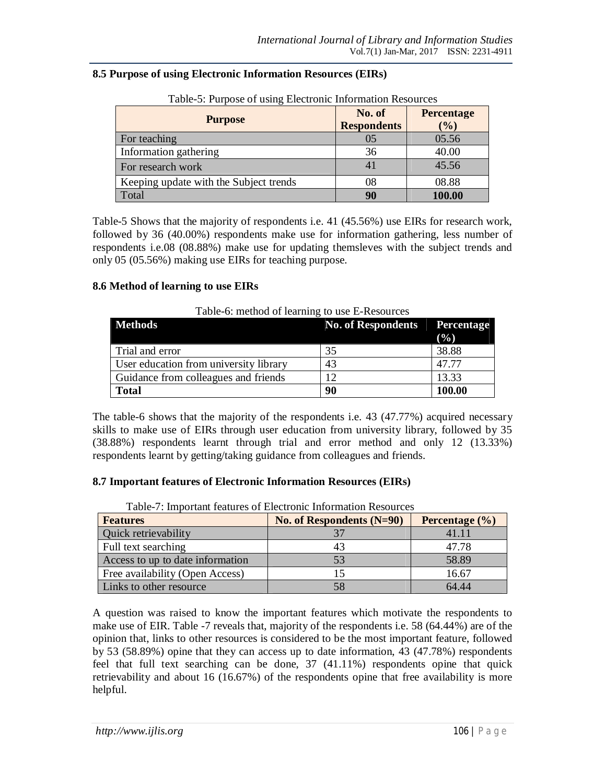| Table-5: Purpose of using Electronic Information Resources<br><b>Purpose</b> | No. of<br><b>Respondents</b> | <b>Percentage</b><br>(%) |
|------------------------------------------------------------------------------|------------------------------|--------------------------|
| For teaching                                                                 | 0.5                          | 05.56                    |
| Information gathering                                                        | 36                           | 40.00                    |
| For research work                                                            | 41                           | 45.56                    |
| Keeping update with the Subject trends                                       | 08                           | 08.88                    |
| Total                                                                        | 90                           | 100.00                   |

#### **8.5 Purpose of using Electronic Information Resources (EIRs)**

Table-5 Shows that the majority of respondents i.e. 41 (45.56%) use EIRs for research work, followed by 36 (40.00%) respondents make use for information gathering, less number of respondents i.e.08 (08.88%) make use for updating themsleves with the subject trends and only 05 (05.56%) making use EIRs for teaching purpose.

#### **8.6 Method of learning to use EIRs**

| <b>Methods</b>                         | <b>No. of Respondents</b> | <b>Percentage</b><br>(%) |
|----------------------------------------|---------------------------|--------------------------|
| Trial and error                        | 35                        | 38.88                    |
| User education from university library | 43                        | 47 77                    |
| Guidance from colleagues and friends   | 12                        | 13.33                    |
| <b>Total</b>                           | 90                        | 100.00                   |

Table-6: method of learning to use E-Resources

The table-6 shows that the majority of the respondents i.e. 43 (47.77%) acquired necessary skills to make use of EIRs through user education from university library, followed by 35 (38.88%) respondents learnt through trial and error method and only 12 (13.33%) respondents learnt by getting/taking guidance from colleagues and friends.

### **8.7 Important features of Electronic Information Resources (EIRs)**

| Features                         | No. of Respondents $(N=90)$ | Percentage $(\% )$ |
|----------------------------------|-----------------------------|--------------------|
| <b>Quick retrievability</b>      |                             | 41.11              |
| Full text searching              | 43                          | 47.78              |
| Access to up to date information | 53                          | 58.89              |
| Free availability (Open Access)  |                             | 16.67              |
| Links to other resource          | 58                          | 64.44              |

Table-7: Important features of Electronic Information Resources

A question was raised to know the important features which motivate the respondents to make use of EIR. Table -7 reveals that, majority of the respondents i.e. 58 (64.44%) are of the opinion that, links to other resources is considered to be the most important feature, followed by 53 (58.89%) opine that they can access up to date information, 43 (47.78%) respondents feel that full text searching can be done, 37 (41.11%) respondents opine that quick retrievability and about 16 (16.67%) of the respondents opine that free availability is more helpful.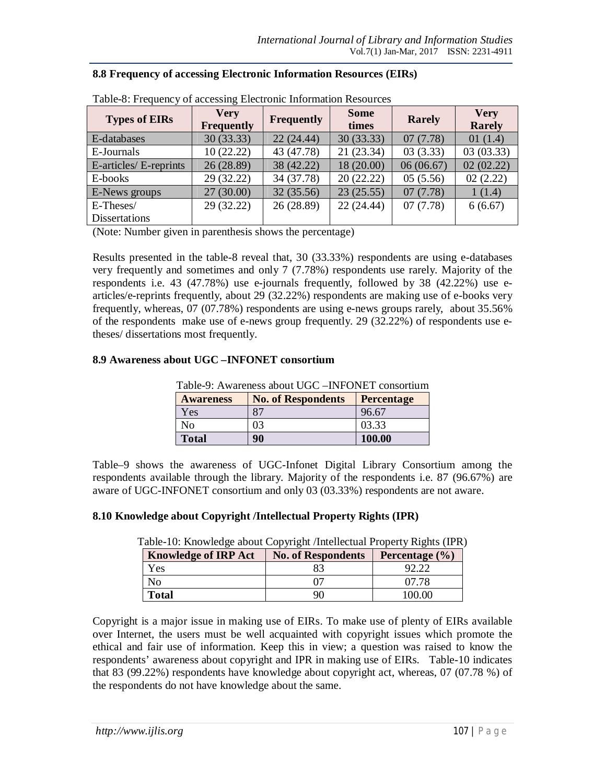| Table-8: Frequency of accessing Electronic Information Resources |                                  |            |                      |               |                       |
|------------------------------------------------------------------|----------------------------------|------------|----------------------|---------------|-----------------------|
| <b>Types of EIRs</b>                                             | <b>Very</b><br><b>Frequently</b> | Frequently | <b>Some</b><br>times | <b>Rarely</b> | <b>Very</b><br>Rarely |
| E-databases                                                      | 30(33.33)                        | 22(24.44)  | 30(33.33)            | 07(7.78)      | 01(1.4)               |
| E-Journals                                                       | 10(22.22)                        | 43 (47.78) | 21(23.34)            | 03(3.33)      | 03(03.33)             |
| E-articles/E-reprints                                            | 26(28.89)                        | 38 (42.22) | 18 (20.00)           | 06(06.67)     | 02(02.22)             |
| E-books                                                          | 29 (32.22)                       | 34 (37.78) | 20(22.22)            | 05(5.56)      | 02(2.22)              |
| E-News groups                                                    | 27(30.00)                        | 32(35.56)  | 23(25.55)            | 07(7.78)      | 1(1.4)                |
| E-Theses/                                                        | 29(32.22)                        | 26 (28.89) | 22(24.44)            | 07(7.78)      | 6(6.67)               |
| <b>Dissertations</b>                                             |                                  |            |                      |               |                       |

### **8.8 Frequency of accessing Electronic Information Resources (EIRs)**

(Note: Number given in parenthesis shows the percentage)

Results presented in the table-8 reveal that, 30 (33.33%) respondents are using e-databases very frequently and sometimes and only 7 (7.78%) respondents use rarely. Majority of the respondents i.e. 43 (47.78%) use e-journals frequently, followed by 38 (42.22%) use earticles/e-reprints frequently, about 29 (32.22%) respondents are making use of e-books very frequently, whereas, 07 (07.78%) respondents are using e-news groups rarely, about 35.56% of the respondents make use of e-news group frequently. 29 (32.22%) of respondents use etheses/ dissertations most frequently.

### **8.9 Awareness about UGC –INFONET consortium**

|  | Table-9: Awareness about UGC – INFONET consortium |  |
|--|---------------------------------------------------|--|
|--|---------------------------------------------------|--|

| <b>Awareness</b> | <b>No. of Respondents</b> | <b>Percentage</b> |
|------------------|---------------------------|-------------------|
| Yes              | 87                        | 96.67             |
| N <sub>0</sub>   | 03                        | 03.33             |
| <b>Total</b>     | 90                        | 100.00            |

Table–9 shows the awareness of UGC-Infonet Digital Library Consortium among the respondents available through the library. Majority of the respondents i.e. 87 (96.67%) are aware of UGC-INFONET consortium and only 03 (03.33%) respondents are not aware.

#### **8.10 Knowledge about Copyright /Intellectual Property Rights (IPR)**

| <b>Knowledge of IRP Act</b> | <b>No. of Respondents</b> | Percentage $(\% )$ |  |
|-----------------------------|---------------------------|--------------------|--|
| Yes                         |                           |                    |  |
| No                          |                           | 07.78              |  |
| <b>Total</b>                |                           | 100.00             |  |

Table-10: Knowledge about Copyright /Intellectual Property Rights (IPR)

Copyright is a major issue in making use of EIRs. To make use of plenty of EIRs available over Internet, the users must be well acquainted with copyright issues which promote the ethical and fair use of information. Keep this in view; a question was raised to know the respondents' awareness about copyright and IPR in making use of EIRs. Table-10 indicates that 83 (99.22%) respondents have knowledge about copyright act, whereas, 07 (07.78 %) of the respondents do not have knowledge about the same.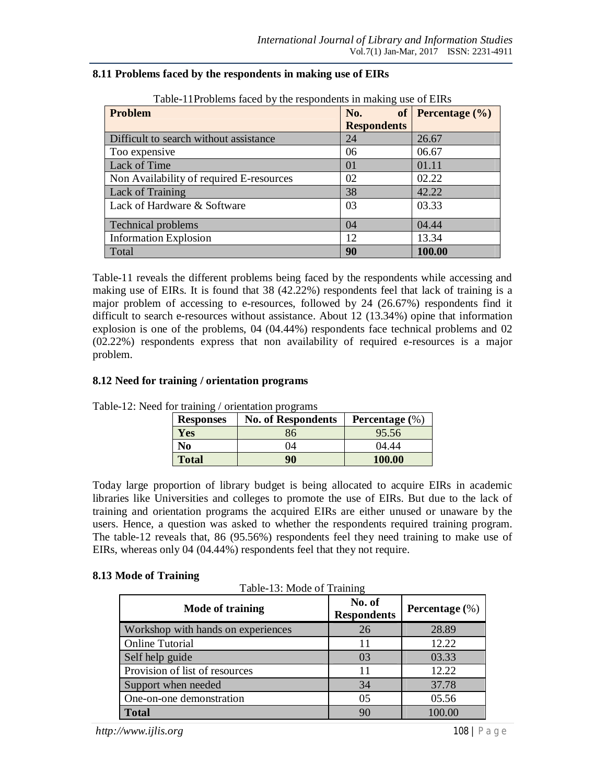| Table-11Problems faced by the respondents in making use of EIRs |                    |                       |  |  |  |
|-----------------------------------------------------------------|--------------------|-----------------------|--|--|--|
| Problem                                                         | No.                | of Percentage $(\% )$ |  |  |  |
|                                                                 | <b>Respondents</b> |                       |  |  |  |
| Difficult to search without assistance                          | 24                 | 26.67                 |  |  |  |
| Too expensive                                                   | 06                 | 06.67                 |  |  |  |
| Lack of Time                                                    | 01                 | 01.11                 |  |  |  |
| Non Availability of required E-resources                        | 02                 | 02.22                 |  |  |  |
| Lack of Training                                                | 38                 | 42.22                 |  |  |  |
| Lack of Hardware & Software                                     | 03                 | 03.33                 |  |  |  |
| <b>Technical problems</b>                                       | 04                 | 04.44                 |  |  |  |
| <b>Information Explosion</b>                                    | 12                 | 13.34                 |  |  |  |
| Total                                                           | 90                 | 100.00                |  |  |  |

#### **8.11 Problems faced by the respondents in making use of EIRs**

Table-11 reveals the different problems being faced by the respondents while accessing and making use of EIRs. It is found that 38 (42.22%) respondents feel that lack of training is a major problem of accessing to e-resources, followed by 24 (26.67%) respondents find it difficult to search e-resources without assistance. About 12 (13.34%) opine that information explosion is one of the problems, 04 (04.44%) respondents face technical problems and 02 (02.22%) respondents express that non availability of required e-resources is a major problem.

### **8.12 Need for training / orientation programs**

| <b>Responses</b> | <b>No. of Respondents</b> | Percentage $(\%)$ |
|------------------|---------------------------|-------------------|
| Yes              | 36                        | 95.56             |
| No               | )4                        | 04.44             |
| <b>Total</b>     | 90                        | 100.00            |

Table-12: Need for training / orientation programs

Today large proportion of library budget is being allocated to acquire EIRs in academic libraries like Universities and colleges to promote the use of EIRs. But due to the lack of training and orientation programs the acquired EIRs are either unused or unaware by the users. Hence, a question was asked to whether the respondents required training program. The table-12 reveals that, 86 (95.56%) respondents feel they need training to make use of EIRs, whereas only 04 (04.44%) respondents feel that they not require.

#### **8.13 Mode of Training**

Table-13: Mode of Training

| Mode of training                   | No. of<br><b>Respondents</b> | Percentage $(\%)$ |
|------------------------------------|------------------------------|-------------------|
| Workshop with hands on experiences | 26                           | 28.89             |
| <b>Online Tutorial</b>             | 11                           | 12.22             |
| Self help guide                    | 03                           | 03.33             |
| Provision of list of resources     |                              | 12.22             |
| Support when needed                | 34                           | 37.78             |
| One-on-one demonstration           | 05                           | 05.56             |
| <b>Total</b>                       | 90                           | 100.00            |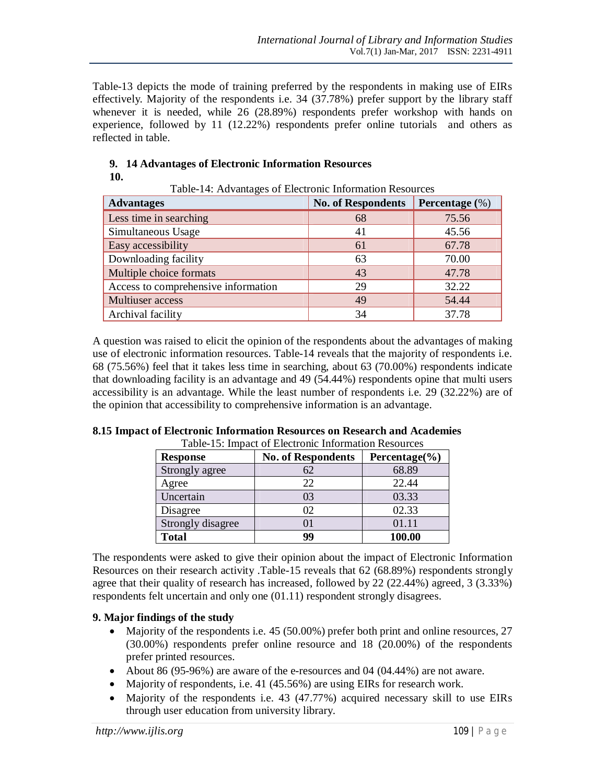Table-13 depicts the mode of training preferred by the respondents in making use of EIRs effectively. Majority of the respondents i.e. 34 (37.78%) prefer support by the library staff whenever it is needed, while 26 (28.89%) respondents prefer workshop with hands on experience, followed by 11 (12.22%) respondents prefer online tutorials and others as reflected in table.

| <b>Advantages</b>                   | <b>No. of Respondents</b> | Percentage $(\%)$ |
|-------------------------------------|---------------------------|-------------------|
| Less time in searching              | 68                        | 75.56             |
| Simultaneous Usage                  | 41                        | 45.56             |
| Easy accessibility                  | 61                        | 67.78             |
| Downloading facility                | 63                        | 70.00             |
| Multiple choice formats             | 43                        | 47.78             |
| Access to comprehensive information | 29                        | 32.22             |
| Multiuser access                    | 49                        | 54.44             |
| Archival facility                   | 34                        | 37.78             |

Table-14: Advantages of Electronic Information Resources

### **9. 14 Advantages of Electronic Information Resources 10.**

A question was raised to elicit the opinion of the respondents about the advantages of making use of electronic information resources. Table-14 reveals that the majority of respondents i.e. 68 (75.56%) feel that it takes less time in searching, about 63 (70.00%) respondents indicate that downloading facility is an advantage and 49 (54.44%) respondents opine that multi users accessibility is an advantage. While the least number of respondents i.e. 29 (32.22%) are of the opinion that accessibility to comprehensive information is an advantage.

| <b>Response</b>   | <b>No. of Respondents</b> | Percentage $(\% )$ |
|-------------------|---------------------------|--------------------|
| Strongly agree    | 62                        | 68.89              |
| Agree             | 22                        | 22.44              |
| Uncertain         | 03                        | 03.33              |
| Disagree          | 02                        | 02.33              |
| Strongly disagree | 01                        | 01.11              |
| <b>Total</b>      | 99                        | 100.00             |

#### **8.15 Impact of Electronic Information Resources on Research and Academies**  Table-15: Impact of Electronic Information Resources

The respondents were asked to give their opinion about the impact of Electronic Information Resources on their research activity .Table-15 reveals that 62 (68.89%) respondents strongly agree that their quality of research has increased, followed by 22 (22.44%) agreed, 3 (3.33%) respondents felt uncertain and only one (01.11) respondent strongly disagrees.

## **9. Major findings of the study**

- Majority of the respondents i.e. 45 (50.00%) prefer both print and online resources, 27 (30.00%) respondents prefer online resource and 18 (20.00%) of the respondents prefer printed resources.
- About 86 (95-96%) are aware of the e-resources and 04 (04.44%) are not aware.
- Majority of respondents, i.e. 41 (45.56%) are using EIRs for research work.
- Majority of the respondents i.e. 43 (47.77%) acquired necessary skill to use EIRs through user education from university library.